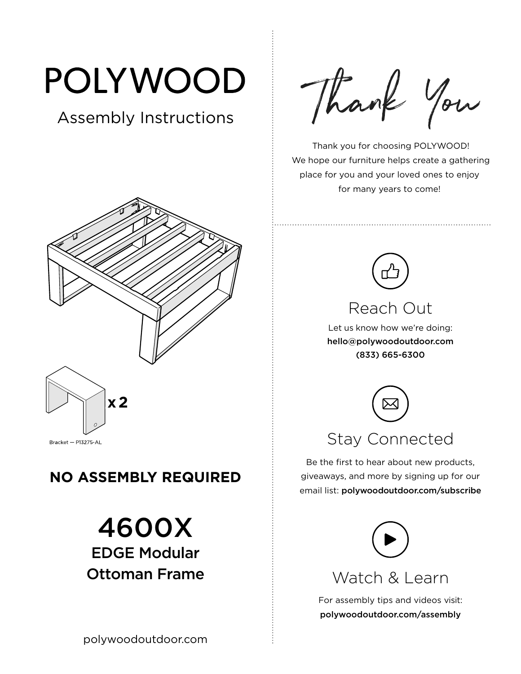# POLYWOOD

## Assembly Instructions



#### **NO ASSEMBLY REQUIRED**

# 4600X EDGE Modular Ottoman Frame

Thank You

 Thank you for choosing POLYWOOD! We hope our furniture helps create a gathering place for you and your loved ones to enjoy for many years to come!



## Reach Out

Let us know how we're doing: hello@polywoodoutdoor.com (833) 665-6300



Be the first to hear about new products, giveaways, and more by signing up for our email list: polywoodoutdoor.com/subscribe



Watch & Learn

For assembly tips and videos visit: polywoodoutdoor.com/assembly

polywoodoutdoor.com